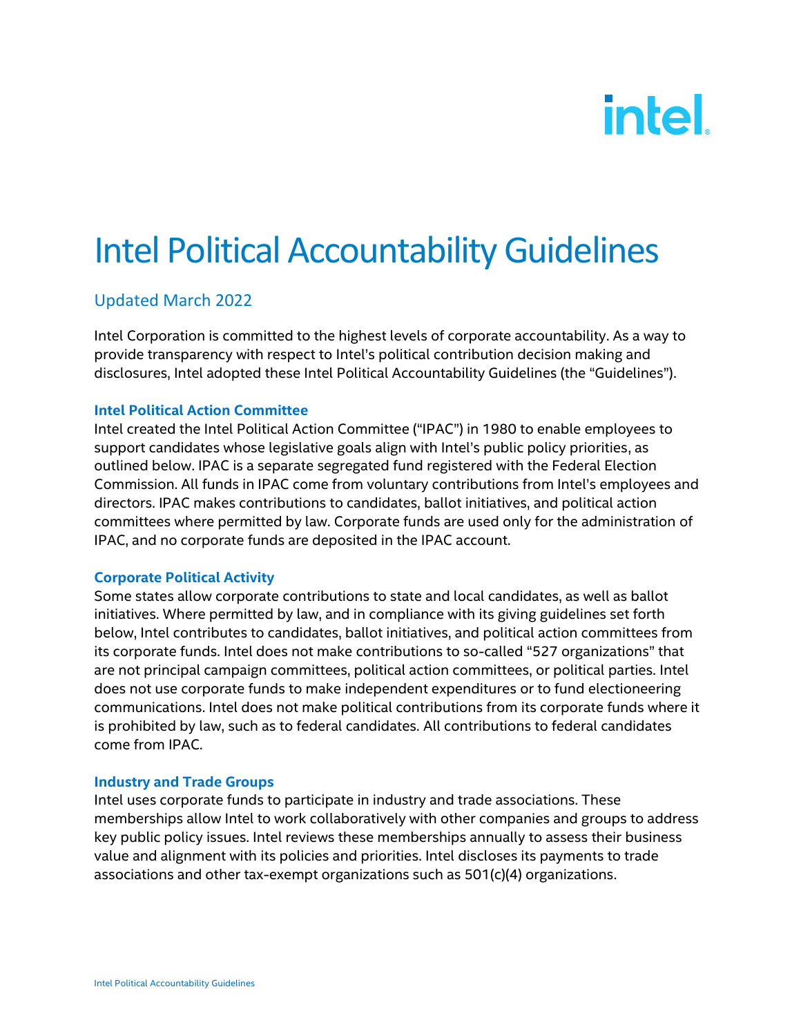# intel.

## Intel Political Accountability Guidelines

### Updated March 2022

Intel Corporation is committed to the highest levels of corporate accountability. As a way to provide transparency with respect to Intel's political contribution decision making and disclosures, Intel adopted these Intel Political Accountability Guidelines (the "Guidelines").

#### **Intel Political Action Committee**

Intel created the Intel Political Action Committee ("IPAC") in 1980 to enable employees to support candidates whose legislative goals align with Intel's public policy priorities, as outlined below. IPAC is a separate segregated fund registered with the Federal Election Commission. All funds in IPAC come from voluntary contributions from Intel's employees and directors. IPAC makes contributions to candidates, ballot initiatives, and political action committees where permitted by law. Corporate funds are used only for the administration of IPAC, and no corporate funds are deposited in the IPAC account.

#### **Corporate Political Activity**

Some states allow corporate contributions to state and local candidates, as well as ballot initiatives. Where permitted by law, and in compliance with its giving guidelines set forth below, Intel contributes to candidates, ballot initiatives, and political action committees from its corporate funds. Intel does not make contributions to so-called "527 organizations" that are not principal campaign committees, political action committees, or political parties. Intel does not use corporate funds to make independent expenditures or to fund electioneering communications. Intel does not make political contributions from its corporate funds where it is prohibited by law, such as to federal candidates. All contributions to federal candidates come from IPAC.

#### **Industry and Trade Groups**

Intel uses corporate funds to participate in industry and trade associations. These memberships allow Intel to work collaboratively with other companies and groups to address key public policy issues. Intel reviews these memberships annually to assess their business value and alignment with its policies and priorities. Intel discloses its payments to trade associations and other tax-exempt organizations such as 501(c)(4) organizations.